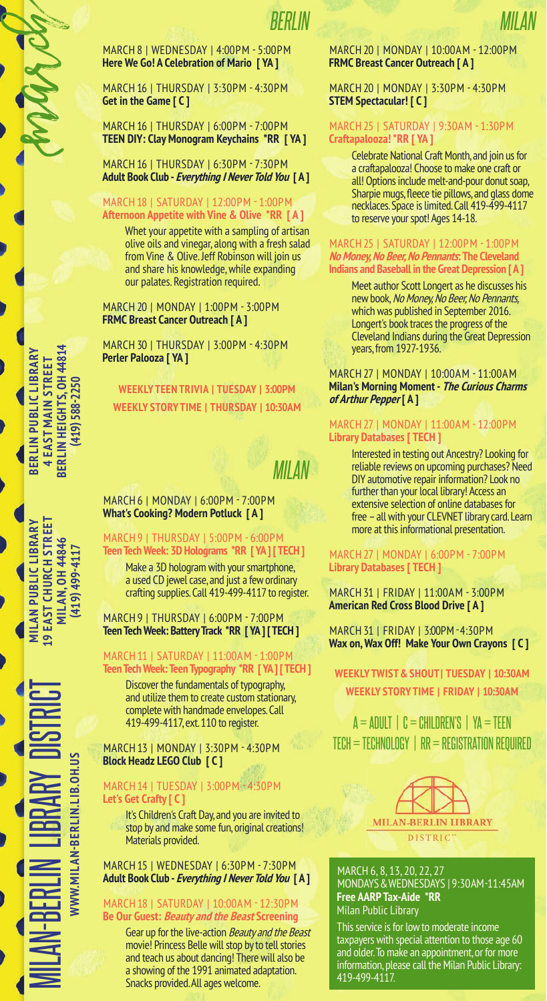MARCH 8 | WEDNESDAY | 4:00PM - 5:00PM **Here We Go! A Celebration of Mario [ YA ]**

MARCH 16 | THURSDAY | 3:30PM - 4:30PM **Get in the Game [ C ]**

MARCH 16 | THURSDAY | 6:00PM - 7:00PM **TEEN DIY: Clay Monogram Keychains \*RR [ YA ]**

MARCH 16 | THURSDAY | 6:30PM - 7:30PM **Adult Book Club - Everything I Never Told You [ A ]**

### MARCH 18 | SATURDAY | 12:00PM - 1:00PM **Afternoon Appetite with Vine & Olive \*RR [ A ]**

Whet your appetite with a sampling of artisan olive oils and vinegar, along with a fresh salad from Vine & Olive. Jeff Robinson will join us and share his knowledge, while expanding our palates. Registration required.

MARCH 20 | MONDAY | 1:00PM - 3:00PM **FRMC Breast Cancer Outreach [ A ]**

MARCH 30 | THURSDAY | 3:00PM - 4:30PM **Perler Palooza [ YA ]**

**WEEKLY STORY TIME | THURSDAY | 10:30AM WEEKLY TEEN TRIVIA | TUESDAY | 3:00PM**

# *MILAN*

MARCH 6 | MONDAY | 6:00PM - 7:00PM **What's Cooking? Modern Potluck [ A ]**

# MARCH 9 | THURSDAY | 5:00PM - 6:00PM **Teen Tech Week: 3D Holograms \*RR [ YA ] [ TECH ]**

Make a 3D hologram with your smartphone, a used CD jewel case, and just a few ordinary crafting supplies. Call 419-499-4117 to register.

MARCH 9 | THURSDAY | 6:00PM - 7:00PM **Teen Tech Week: Battery Track \*RR [ YA ] [ TECH ]**

### MARCH 11 | SATURDAY | 11:00AM - 1:00PM **Teen Tech Week: Teen Typography \*RR [ YA ] [ TECH ]**

Discover the fundamentals of typography, and utilize them to create custom stationary, complete with handmade envelopes. Call 419-499-4117, ext. 110 to register.

MARCH 13 | MONDAY | 3:30PM - 4:30PM **Block Headz LEGO Club [ C ]**

### MARCH 14 | TUESDAY | 3:00PM - 4:30PM **Let's Get Crafty [ C ]**

It's Children's Craft Day, and you are invited to stop by and make some fun, original creations! Materials provided.

### MARCH 15 | WEDNESDAY | 6:30PM - 7:30PM **Adult Book Club - Everything I Never Told You [ A ]**

### MARCH 18 | SATURDAY | 10:00AM - 12:30PM **Be Our Guest: Beauty and the Beast Screening**

Gear up for the live-action Beauty and the Beast movie! Princess Belle will stop by to tell stories and teach us about dancing! There will also be a showing of the 1991 animated adaptation. Snacks provided. All ages welcome.

### MARCH 20 | MONDAY | 10:00AM - 12:00PM **FRMC Breast Cancer Outreach [ A ]**

*MILAN*

### MARCH 20 | MONDAY | 3:30PM - 4:30PM **STEM Spectacular! [ C ]**

### MARCH 25 | SATURDAY | 9:30AM - 1:30PM **Craftapalooza! \*RR [ YA ]**

Celebrate National Craft Month, and join us for a craftapalooza! Choose to make one craft or all! Options include melt-and-pour donut soap, Sharpie mugs, fleece tie pillows, and glass dome necklaces. Space is limited. Call 419-499-4117 to reserve your spot! Ages 14-18.

#### MARCH 25 | SATURDAY | 12:00PM - 1:00PM **No Money, No Beer, No Pennants: The Cleveland Indians and Baseball in the Great Depression [ A ]**

Meet author Scott Longert as he discusses his new book, No Money, No Beer, No Pennants, which was published in September 2016. Longert's book traces the progress of the Cleveland Indians during the Great Depression years, from 1927-1936.

### MARCH 27 | MONDAY | 10:00AM - 11:00AM **Milan's Morning Moment - The Curious Charms of Arthur Pepper [ A ]**

### MARCH 27 | MONDAY | 11:00AM - 12:00PM **Library Databases [ TECH ]**

Interested in testing out Ancestry? Looking for reliable reviews on upcoming purchases? Need DIY automotive repair information? Look no further than your local library! Access an extensive selection of online databases for free – all with your CLEVNET library card. Learn more at this informational presentation.

### MARCH 27 | MONDAY | 6:00PM - 7:00PM **Library Databases [ TECH ]**

MARCH 31 | FRIDAY | 11:00AM - 3:00PM **American Red Cross Blood Drive [ A ]**

MARCH 31 | FRIDAY | 3:00PM - 4:30PM **Wax on, Wax Off! Make Your Own Crayons [ C ]**

# **WEEKLY STORY TIME | FRIDAY | 10:30AM WEEKLY TWIST & SHOUT | TUESDAY | 10:30AM**

A = ADULT | C = CHILDREN'S | YA = TEEN TECH = TECHNOLOGY | RR = REGISTRATION REQUIRED



### MARCH 6, 8, 13, 20, 22, 27 MONDAYS & WEDNESDAYS | 9:30 AM-11:45 AM **Free AARP Tax-Aide \*RR** Milan Public Library

This service is for low to moderate income taxpayers with special attention to those age 60 and older. To make an appointment, or for more information, please call the Milan Public Library: 419-499-4117.

**BERLIN HEIGHTS, OH 44814** BERLIN PUBLIC LIBRARY<br>4 EAST MAIN STREET **BERLIN PUBLIC LIBRARY** BERLIN HEIGHTS, OH 44814 **4 EAST MAIN STREET** 419) 588-2250 **(419) 588-2250**

bergur

**MILAN PUBLIC LIBRARY<br>19 EAST CHURCH STREET** MILAN-BERLIN LIBRARY DISTRICT **MILAN PUBLIC LIBRARY 19 EAST CHURCH STREET MILAN, OH 44846** MILAN, 0H 44846<br>(419) 499-4117 **(419) 499-4117**

**WWW.MILAN-BERLIN.LIB.OH.US**

**WWW.MILAN-BERLIN.LIB.OH.US**